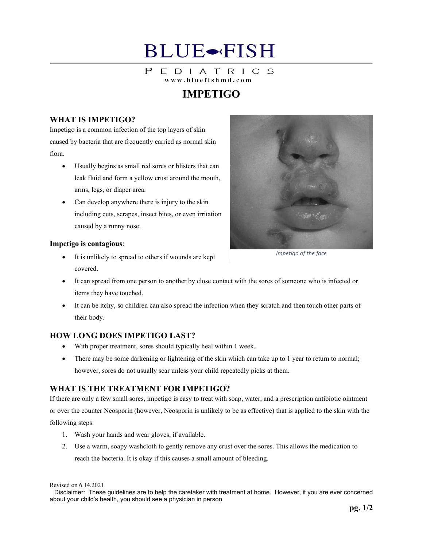## **BLUE**-FISH

#### $\mathsf{P}$ EDIATRICS www.bluefishmd.com

## **IMPETIGO**

#### **WHAT IS IMPETIGO?**

Impetigo is a common infection of the top layers of skin caused by bacteria that are frequently carried as normal skin flora.

- Usually begins as small red sores or blisters that can leak fluid and form a yellow crust around the mouth, arms, legs, or diaper area.
- Can develop anywhere there is injury to the skin including cuts, scrapes, insect bites, or even irritation caused by a runny nose.



**Impetigo is contagious**:

- It is unlikely to spread to others if wounds are kept covered.
- It can spread from one person to another by close contact with the sores of someone who is infected or items they have touched.
- It can be itchy, so children can also spread the infection when they scratch and then touch other parts of their body.

### **HOW LONG DOES IMPETIGO LAST?**

- With proper treatment, sores should typically heal within 1 week.
- There may be some darkening or lightening of the skin which can take up to 1 year to return to normal; however, sores do not usually scar unless your child repeatedly picks at them.

### **WHAT IS THE TREATMENT FOR IMPETIGO?**

If there are only a few small sores, impetigo is easy to treat with soap, water, and a prescription antibiotic ointment or over the counter Neosporin (however, Neosporin is unlikely to be as effective) that is applied to the skin with the following steps:

- 1. Wash your hands and wear gloves, if available.
- 2. Use a warm, soapy washcloth to gently remove any crust over the sores. This allows the medication to reach the bacteria. It is okay if this causes a small amount of bleeding.

Revised on 6.14.2021

Disclaimer: These guidelines are to help the caretaker with treatment at home. However, if you are ever concerned about your child's health, you should see a physician in person